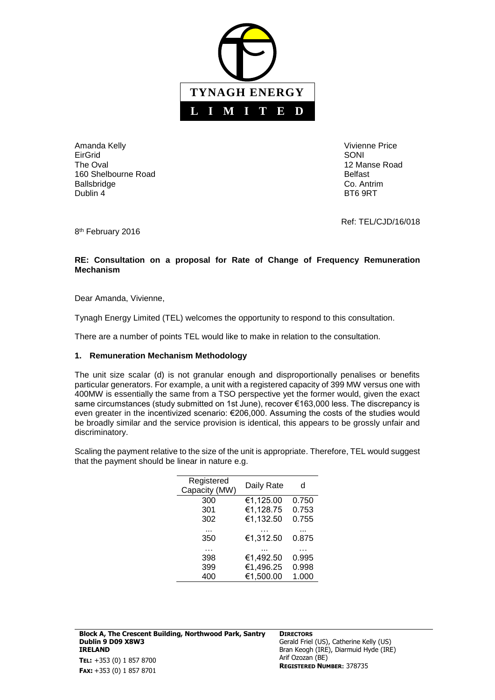

Amanda Kelly **Amanda Kelly**<br>EirGrid **Vivienne Price** EirGrid SONI The Oval **12 Manse Road** 12 Manse Road 12 Manse Road 12 Manse Road 12 Manse Road 12 Manse Road 12 Manse Road 12 Manse Road 12 Manse Road 12 Manse Road 12 Manse Road 12 Manse Road 12 Manse Road 12 Manse Road 12 Manse Road 1 160 Shelbourne Road Belfast Ballsbridge Co. Antrim Dublin 4 BT6 9RT

Ref: TEL/CJD/16/018

8<sup>th</sup> February 2016

## **RE: Consultation on a proposal for Rate of Change of Frequency Remuneration Mechanism**

Dear Amanda, Vivienne,

Tynagh Energy Limited (TEL) welcomes the opportunity to respond to this consultation.

There are a number of points TEL would like to make in relation to the consultation.

### **1. Remuneration Mechanism Methodology**

The unit size scalar (d) is not granular enough and disproportionally penalises or benefits particular generators. For example, a unit with a registered capacity of 399 MW versus one with 400MW is essentially the same from a TSO perspective yet the former would, given the exact same circumstances (study submitted on 1st June), recover €163,000 less. The discrepancy is even greater in the incentivized scenario: €206,000. Assuming the costs of the studies would be broadly similar and the service provision is identical, this appears to be grossly unfair and discriminatory.

Scaling the payment relative to the size of the unit is appropriate. Therefore, TEL would suggest that the payment should be linear in nature e.g.

| Registered<br>Capacity (MW) | Daily Rate | d     |
|-----------------------------|------------|-------|
| 300                         | €1,125.00  | 0.750 |
| 301                         | €1,128.75  | 0.753 |
| 302                         | €1,132.50  | 0.755 |
| 350                         | €1,312.50  | 0.875 |
| 398                         | €1,492.50  | 0.995 |
| 399                         | €1,496.25  | 0.998 |
| 400                         | €1,500.00  | 1.000 |